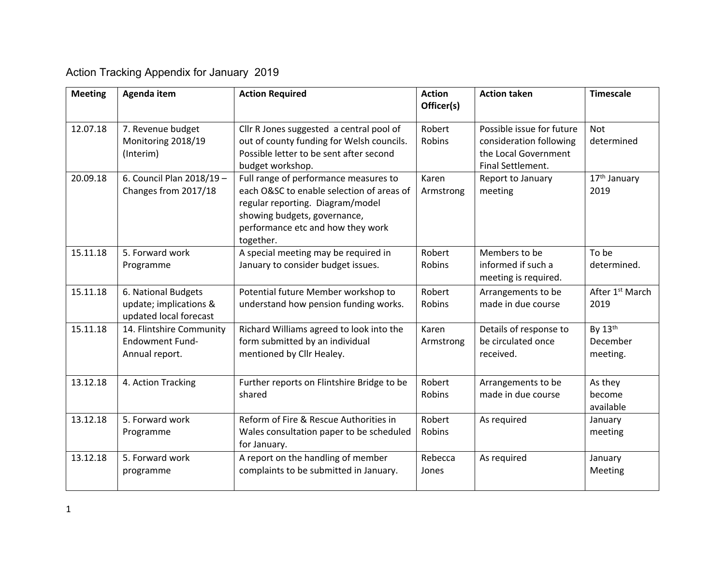## Action Tracking Appendix for January 2019

| <b>Meeting</b> | Agenda item                                                             | <b>Action Required</b>                                                                                                                                                                                   | <b>Action</b><br>Officer(s) | <b>Action taken</b>                                                                               | <b>Timescale</b>                    |
|----------------|-------------------------------------------------------------------------|----------------------------------------------------------------------------------------------------------------------------------------------------------------------------------------------------------|-----------------------------|---------------------------------------------------------------------------------------------------|-------------------------------------|
| 12.07.18       | 7. Revenue budget<br>Monitoring 2018/19<br>(Interim)                    | Cllr R Jones suggested a central pool of<br>out of county funding for Welsh councils.<br>Possible letter to be sent after second<br>budget workshop.                                                     | Robert<br>Robins            | Possible issue for future<br>consideration following<br>the Local Government<br>Final Settlement. | <b>Not</b><br>determined            |
| 20.09.18       | 6. Council Plan 2018/19 -<br>Changes from 2017/18                       | Full range of performance measures to<br>each O&SC to enable selection of areas of<br>regular reporting. Diagram/model<br>showing budgets, governance,<br>performance etc and how they work<br>together. | Karen<br>Armstrong          | Report to January<br>meeting                                                                      | 17 <sup>th</sup> January<br>2019    |
| 15.11.18       | 5. Forward work<br>Programme                                            | A special meeting may be required in<br>January to consider budget issues.                                                                                                                               | Robert<br>Robins            | Members to be<br>informed if such a<br>meeting is required.                                       | To be<br>determined.                |
| 15.11.18       | 6. National Budgets<br>update; implications &<br>updated local forecast | Potential future Member workshop to<br>understand how pension funding works.                                                                                                                             | Robert<br>Robins            | Arrangements to be<br>made in due course                                                          | After 1 <sup>st</sup> March<br>2019 |
| 15.11.18       | 14. Flintshire Community<br><b>Endowment Fund-</b><br>Annual report.    | Richard Williams agreed to look into the<br>form submitted by an individual<br>mentioned by Cllr Healey.                                                                                                 | Karen<br>Armstrong          | Details of response to<br>be circulated once<br>received.                                         | By 13th<br>December<br>meeting.     |
| 13.12.18       | 4. Action Tracking                                                      | Further reports on Flintshire Bridge to be<br>shared                                                                                                                                                     | Robert<br>Robins            | Arrangements to be<br>made in due course                                                          | As they<br>become<br>available      |
| 13.12.18       | 5. Forward work<br>Programme                                            | Reform of Fire & Rescue Authorities in<br>Wales consultation paper to be scheduled<br>for January.                                                                                                       | Robert<br>Robins            | As required                                                                                       | January<br>meeting                  |
| 13.12.18       | 5. Forward work<br>programme                                            | A report on the handling of member<br>complaints to be submitted in January.                                                                                                                             | Rebecca<br>Jones            | As required                                                                                       | January<br>Meeting                  |